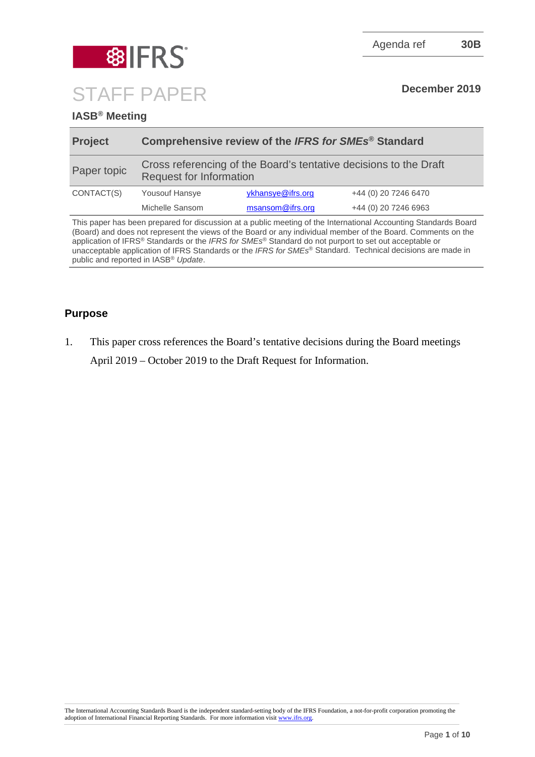

# **8 IFRS** STAFF PAPER **December 2019**

### **IASB® Meeting**

| <b>Project</b> | Comprehensive review of the IFRS for SMEs <sup>®</sup> Standard                                     |                   |                      |
|----------------|-----------------------------------------------------------------------------------------------------|-------------------|----------------------|
| Paper topic    | Cross referencing of the Board's tentative decisions to the Draft<br><b>Request for Information</b> |                   |                      |
| CONTACT(S)     | <b>Yousouf Hansye</b>                                                                               | ykhansye@ifrs.org | +44 (0) 20 7246 6470 |
|                | Michelle Sansom                                                                                     | msansom@ifrs.org  | +44 (0) 20 7246 6963 |
|                |                                                                                                     |                   |                      |

This paper has been prepared for discussion at a public meeting of the International Accounting Standards Board (Board) and does not represent the views of the Board or any individual member of the Board. Comments on the application of IFRS® Standards or the *IFRS for SMEs*® Standard do not purport to set out acceptable or unacceptable application of IFRS Standards or the *IFRS for SMEs*® Standard. Technical decisions are made in public and reported in IASB® *Update*.

### **Purpose**

1. This paper cross references the Board's tentative decisions during the Board meetings April 2019 – October 2019 to the Draft Request for Information.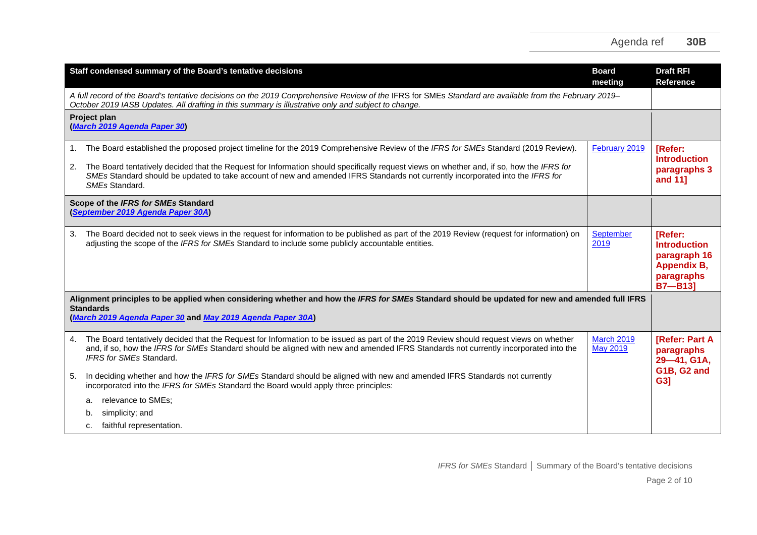|          | Staff condensed summary of the Board's tentative decisions                                                                                                                                                                                                                                                                                                                                                                         | <b>Board</b><br>meeting              | <b>Draft RFI</b><br><b>Reference</b>                                                             |
|----------|------------------------------------------------------------------------------------------------------------------------------------------------------------------------------------------------------------------------------------------------------------------------------------------------------------------------------------------------------------------------------------------------------------------------------------|--------------------------------------|--------------------------------------------------------------------------------------------------|
|          | A full record of the Board's tentative decisions on the 2019 Comprehensive Review of the IFRS for SMEs Standard are available from the February 2019–<br>October 2019 IASB Updates. All drafting in this summary is illustrative only and subject to change.                                                                                                                                                                       |                                      |                                                                                                  |
|          | Project plan<br>(March 2019 Agenda Paper 30)                                                                                                                                                                                                                                                                                                                                                                                       |                                      |                                                                                                  |
| 1.<br>2. | The Board established the proposed project timeline for the 2019 Comprehensive Review of the IFRS for SMEs Standard (2019 Review).<br>The Board tentatively decided that the Request for Information should specifically request views on whether and, if so, how the IFRS for<br>SMEs Standard should be updated to take account of new and amended IFRS Standards not currently incorporated into the IFRS for<br>SMEs Standard. | February 2019                        | [Refer:<br><b>Introduction</b><br>paragraphs 3<br>and 11]                                        |
|          | Scope of the IFRS for SMEs Standard<br>(September 2019 Agenda Paper 30A)                                                                                                                                                                                                                                                                                                                                                           |                                      |                                                                                                  |
| 3.       | The Board decided not to seek views in the request for information to be published as part of the 2019 Review (request for information) on<br>adjusting the scope of the IFRS for SMEs Standard to include some publicly accountable entities.                                                                                                                                                                                     | September<br>2019                    | [Refer:<br><b>Introduction</b><br>paragraph 16<br><b>Appendix B,</b><br>paragraphs<br>$B7 - B13$ |
|          | Alignment principles to be applied when considering whether and how the IFRS for SMEs Standard should be updated for new and amended full IFRS<br><b>Standards</b><br>(March 2019 Agenda Paper 30 and May 2019 Agenda Paper 30A)                                                                                                                                                                                                   |                                      |                                                                                                  |
| 4.       | The Board tentatively decided that the Request for Information to be issued as part of the 2019 Review should request views on whether<br>and, if so, how the IFRS for SMEs Standard should be aligned with new and amended IFRS Standards not currently incorporated into the<br>IFRS for SMEs Standard.                                                                                                                          | <b>March 2019</b><br><b>May 2019</b> | <b>[Refer: Part A</b><br>paragraphs<br>29-41, G1A,<br>G1B, G2 and                                |
| 5.       | In deciding whether and how the IFRS for SMEs Standard should be aligned with new and amended IFRS Standards not currently<br>incorporated into the IFRS for SMEs Standard the Board would apply three principles:                                                                                                                                                                                                                 |                                      | G3]                                                                                              |
|          | relevance to SMEs;<br>a.                                                                                                                                                                                                                                                                                                                                                                                                           |                                      |                                                                                                  |
|          | simplicity; and<br>b.<br>faithful representation.<br>C.                                                                                                                                                                                                                                                                                                                                                                            |                                      |                                                                                                  |
|          |                                                                                                                                                                                                                                                                                                                                                                                                                                    |                                      |                                                                                                  |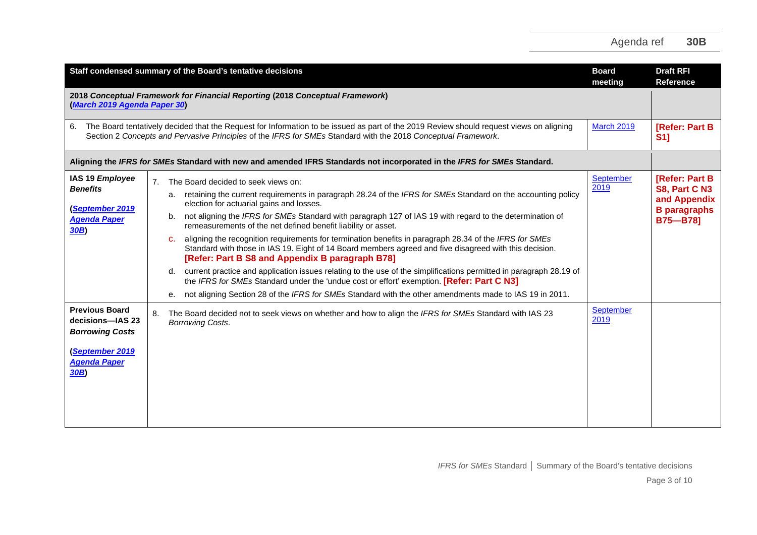| Staff condensed summary of the Board's tentative decisions<br><b>Board</b><br>meeting                                |                                                                                                                                                                                                                                                                                                                                                                                                                                                                                                                                                                                                                                                                                                                                                                                                                                                                                                                                                                                                                 |                   | <b>Draft RFI</b><br><b>Reference</b>                                                             |
|----------------------------------------------------------------------------------------------------------------------|-----------------------------------------------------------------------------------------------------------------------------------------------------------------------------------------------------------------------------------------------------------------------------------------------------------------------------------------------------------------------------------------------------------------------------------------------------------------------------------------------------------------------------------------------------------------------------------------------------------------------------------------------------------------------------------------------------------------------------------------------------------------------------------------------------------------------------------------------------------------------------------------------------------------------------------------------------------------------------------------------------------------|-------------------|--------------------------------------------------------------------------------------------------|
| 2018 Conceptual Framework for Financial Reporting (2018 Conceptual Framework)<br>(March 2019 Agenda Paper 30)        |                                                                                                                                                                                                                                                                                                                                                                                                                                                                                                                                                                                                                                                                                                                                                                                                                                                                                                                                                                                                                 |                   |                                                                                                  |
| 6.                                                                                                                   | The Board tentatively decided that the Request for Information to be issued as part of the 2019 Review should request views on aligning<br>Section 2 Concepts and Pervasive Principles of the IFRS for SMEs Standard with the 2018 Conceptual Framework.                                                                                                                                                                                                                                                                                                                                                                                                                                                                                                                                                                                                                                                                                                                                                        | <b>March 2019</b> | <b>[Refer: Part B</b><br><b>S11</b>                                                              |
|                                                                                                                      | Aligning the IFRS for SMEs Standard with new and amended IFRS Standards not incorporated in the IFRS for SMEs Standard.                                                                                                                                                                                                                                                                                                                                                                                                                                                                                                                                                                                                                                                                                                                                                                                                                                                                                         |                   |                                                                                                  |
| IAS 19 Employee<br><b>Benefits</b><br><b>September 2019</b><br><b>Agenda Paper</b><br>30B                            | 7. The Board decided to seek views on:<br>a. retaining the current requirements in paragraph 28.24 of the IFRS for SMEs Standard on the accounting policy<br>election for actuarial gains and losses.<br>not aligning the IFRS for SMEs Standard with paragraph 127 of IAS 19 with regard to the determination of<br>b.<br>remeasurements of the net defined benefit liability or asset.<br>aligning the recognition requirements for termination benefits in paragraph 28.34 of the IFRS for SMEs<br>C.<br>Standard with those in IAS 19. Eight of 14 Board members agreed and five disagreed with this decision.<br>[Refer: Part B S8 and Appendix B paragraph B78]<br>current practice and application issues relating to the use of the simplifications permitted in paragraph 28.19 of<br>d.<br>the IFRS for SMEs Standard under the 'undue cost or effort' exemption. [Refer: Part C N3]<br>not aligning Section 28 of the IFRS for SMEs Standard with the other amendments made to IAS 19 in 2011.<br>е. | September<br>2019 | <b>[Refer: Part B</b><br>S8, Part C N3<br>and Appendix<br><b>B</b> paragraphs<br><b>B75-B78]</b> |
| <b>Previous Board</b><br>decisions-IAS 23<br><b>Borrowing Costs</b><br>(September 2019<br><b>Agenda Paper</b><br>30B | The Board decided not to seek views on whether and how to align the IFRS for SMEs Standard with IAS 23<br>8.<br><b>Borrowing Costs.</b>                                                                                                                                                                                                                                                                                                                                                                                                                                                                                                                                                                                                                                                                                                                                                                                                                                                                         | September<br>2019 |                                                                                                  |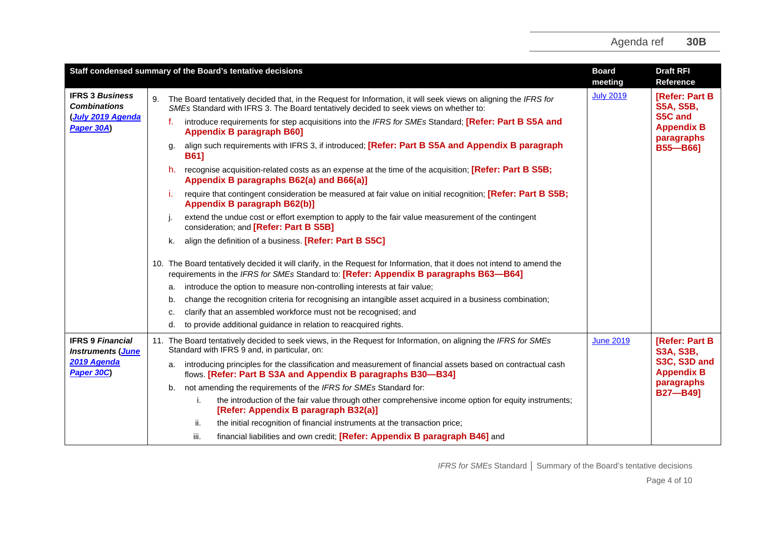|                                                             | Staff condensed summary of the Board's tentative decisions |                                                                                                                                                                                                                  |                  | <b>Draft RFI</b><br>Reference              |
|-------------------------------------------------------------|------------------------------------------------------------|------------------------------------------------------------------------------------------------------------------------------------------------------------------------------------------------------------------|------------------|--------------------------------------------|
| <b>IFRS 3 Business</b><br><b>Combinations</b>               | 9.                                                         | The Board tentatively decided that, in the Request for Information, it will seek views on aligning the IFRS for<br>SMEs Standard with IFRS 3. The Board tentatively decided to seek views on whether to:         | <b>July 2019</b> | [Refer: Part B<br><b>S5A, S5B,</b>         |
| <b>July 2019 Agenda</b><br>Paper 30A)                       |                                                            | introduce requirements for step acquisitions into the IFRS for SMEs Standard; [Refer: Part B S5A and<br>f.<br><b>Appendix B paragraph B601</b>                                                                   |                  | S5C and<br><b>Appendix B</b><br>paragraphs |
|                                                             |                                                            | align such requirements with IFRS 3, if introduced; [Refer: Part B S5A and Appendix B paragraph<br><b>B611</b>                                                                                                   |                  | <b>B55-B66]</b>                            |
|                                                             |                                                            | recognise acquisition-related costs as an expense at the time of the acquisition; [Refer: Part B S5B;<br>h.<br>Appendix B paragraphs B62(a) and B66(a)]                                                          |                  |                                            |
|                                                             |                                                            | require that contingent consideration be measured at fair value on initial recognition; [Refer: Part B S5B;<br>j.<br>Appendix B paragraph B62(b)]                                                                |                  |                                            |
|                                                             |                                                            | extend the undue cost or effort exemption to apply to the fair value measurement of the contingent<br>consideration; and [Refer: Part B S5B]                                                                     |                  |                                            |
|                                                             |                                                            | align the definition of a business. [Refer: Part B S5C]<br>k.                                                                                                                                                    |                  |                                            |
|                                                             |                                                            | 10. The Board tentatively decided it will clarify, in the Request for Information, that it does not intend to amend the<br>requirements in the IFRS for SMEs Standard to: [Refer: Appendix B paragraphs B63-B64] |                  |                                            |
|                                                             |                                                            | introduce the option to measure non-controlling interests at fair value;<br>a.                                                                                                                                   |                  |                                            |
|                                                             |                                                            | change the recognition criteria for recognising an intangible asset acquired in a business combination;<br>b.                                                                                                    |                  |                                            |
|                                                             |                                                            | clarify that an assembled workforce must not be recognised; and<br>c.                                                                                                                                            |                  |                                            |
|                                                             |                                                            | to provide additional guidance in relation to reacquired rights.<br>d.                                                                                                                                           |                  |                                            |
| <b>IFRS 9 Financial</b><br><b>Instruments</b> ( <b>June</b> |                                                            | 11. The Board tentatively decided to seek views, in the Request for Information, on aligning the IFRS for SMEs<br>Standard with IFRS 9 and, in particular, on:                                                   | <b>June 2019</b> | <b>[Refer: Part B</b><br><b>S3A, S3B,</b>  |
| 2019 Agenda<br>Paper 30C                                    |                                                            | introducing principles for the classification and measurement of financial assets based on contractual cash<br>a.<br>flows. [Refer: Part B S3A and Appendix B paragraphs B30-B34]                                |                  | S3C, S3D and<br><b>Appendix B</b>          |
|                                                             |                                                            | not amending the requirements of the IFRS for SMEs Standard for:<br>b.                                                                                                                                           |                  | paragraphs<br><b>B27-B491</b>              |
|                                                             |                                                            | the introduction of the fair value through other comprehensive income option for equity instruments;<br>i.<br>[Refer: Appendix B paragraph B32(a)]                                                               |                  |                                            |
|                                                             |                                                            | the initial recognition of financial instruments at the transaction price;<br>ii.                                                                                                                                |                  |                                            |
|                                                             |                                                            | financial liabilities and own credit; [Refer: Appendix B paragraph B46] and<br>iii.                                                                                                                              |                  |                                            |

*IFRS for SMEs* Standard **│** Summary of the Board's tentative decisions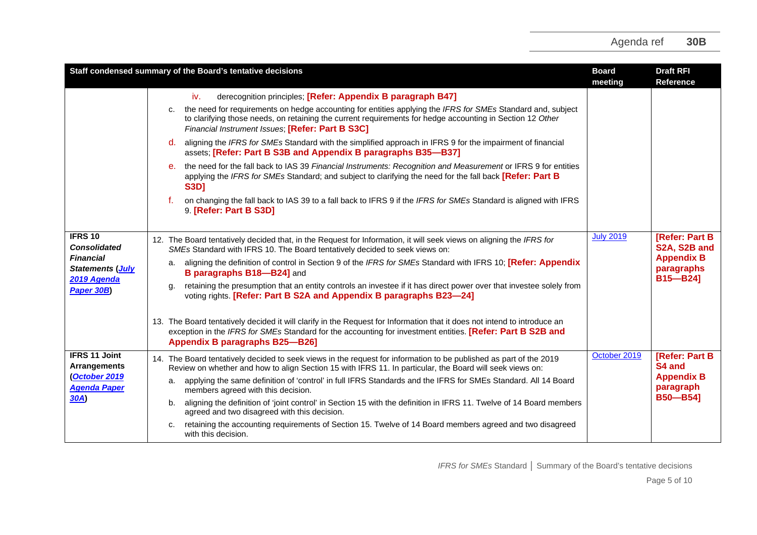|                                                                                                                   | Staff condensed summary of the Board's tentative decisions                                                                                                                                                                                                                                                                                                                                                                                                                                                                                                                                                                                                                                                                                                                                                                                                                                                                                          | <b>Board</b><br>meeting | <b>Draft RFI</b><br><b>Reference</b>                                                        |
|-------------------------------------------------------------------------------------------------------------------|-----------------------------------------------------------------------------------------------------------------------------------------------------------------------------------------------------------------------------------------------------------------------------------------------------------------------------------------------------------------------------------------------------------------------------------------------------------------------------------------------------------------------------------------------------------------------------------------------------------------------------------------------------------------------------------------------------------------------------------------------------------------------------------------------------------------------------------------------------------------------------------------------------------------------------------------------------|-------------------------|---------------------------------------------------------------------------------------------|
|                                                                                                                   | derecognition principles; [Refer: Appendix B paragraph B47]<br>iv.<br>the need for requirements on hedge accounting for entities applying the IFRS for SMEs Standard and, subject<br>C.<br>to clarifying those needs, on retaining the current requirements for hedge accounting in Section 12 Other<br>Financial Instrument Issues; [Refer: Part B S3C]<br>aligning the IFRS for SMEs Standard with the simplified approach in IFRS 9 for the impairment of financial<br>d.<br>assets; [Refer: Part B S3B and Appendix B paragraphs B35-B37]<br>the need for the fall back to IAS 39 Financial Instruments: Recognition and Measurement or IFRS 9 for entities<br>e.<br>applying the IFRS for SMEs Standard; and subject to clarifying the need for the fall back [Refer: Part B<br><b>S3D1</b><br>on changing the fall back to IAS 39 to a fall back to IFRS 9 if the IFRS for SMEs Standard is aligned with IFRS<br>f.<br>9. [Refer: Part B S3D] |                         |                                                                                             |
| <b>IFRS 10</b><br><b>Consolidated</b><br><b>Financial</b><br><b>Statements (July</b><br>2019 Agenda<br>Paper 30B) | 12. The Board tentatively decided that, in the Request for Information, it will seek views on aligning the IFRS for<br>SMEs Standard with IFRS 10. The Board tentatively decided to seek views on:<br>aligning the definition of control in Section 9 of the IFRS for SMEs Standard with IFRS 10; [Refer: Appendix<br>а.<br>B paragraphs B18-B24] and<br>retaining the presumption that an entity controls an investee if it has direct power over that investee solely from<br>α.<br>voting rights. [Refer: Part B S2A and Appendix B paragraphs B23-24]<br>13. The Board tentatively decided it will clarify in the Request for Information that it does not intend to introduce an<br>exception in the IFRS for SMEs Standard for the accounting for investment entities. [Refer: Part B S2B and<br><b>Appendix B paragraphs B25-B26]</b>                                                                                                        | <b>July 2019</b>        | <b>[Refer: Part B</b><br>S2A, S2B and<br><b>Appendix B</b><br>paragraphs<br><b>B15-B24]</b> |
| <b>IFRS 11 Joint</b><br><b>Arrangements</b><br>October 2019<br><b>Agenda Paper</b><br>30A)                        | 14. The Board tentatively decided to seek views in the request for information to be published as part of the 2019<br>Review on whether and how to align Section 15 with IFRS 11. In particular, the Board will seek views on:<br>applying the same definition of 'control' in full IFRS Standards and the IFRS for SMEs Standard. All 14 Board<br>а.<br>members agreed with this decision.<br>aligning the definition of 'joint control' in Section 15 with the definition in IFRS 11. Twelve of 14 Board members<br>b.<br>agreed and two disagreed with this decision.<br>retaining the accounting requirements of Section 15. Twelve of 14 Board members agreed and two disagreed<br>c.<br>with this decision.                                                                                                                                                                                                                                   | October 2019            | <b>[Refer: Part B</b><br>S4 and<br><b>Appendix B</b><br>paragraph<br><b>B50-B541</b>        |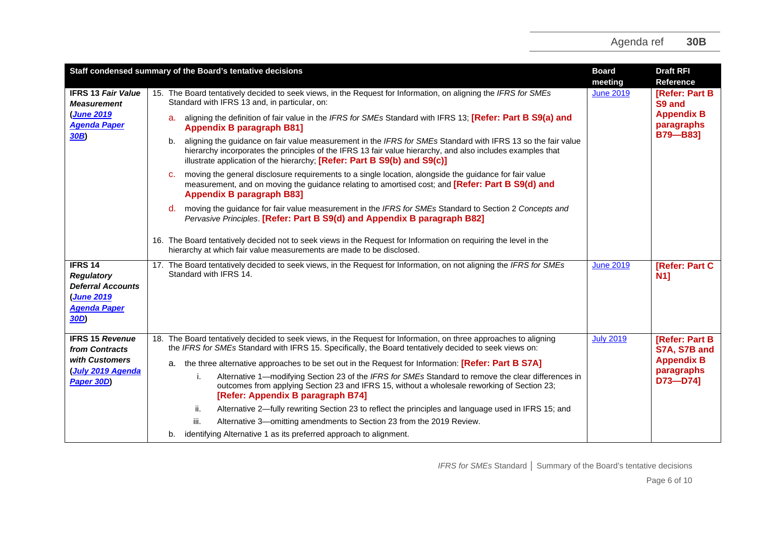|                                                                                                                   | Staff condensed summary of the Board's tentative decisions                                                                                                                                                                                                                                                   | <b>Board</b><br>meeting | <b>Draft RFI</b><br><b>Reference</b> |
|-------------------------------------------------------------------------------------------------------------------|--------------------------------------------------------------------------------------------------------------------------------------------------------------------------------------------------------------------------------------------------------------------------------------------------------------|-------------------------|--------------------------------------|
| <b>IFRS 13 Fair Value</b><br><b>Measurement</b>                                                                   | 15. The Board tentatively decided to seek views, in the Request for Information, on aligning the IFRS for SMEs<br>Standard with IFRS 13 and, in particular, on:                                                                                                                                              | <b>June 2019</b>        | <b>[Refer: Part B]</b><br>S9 and     |
| (June 2019<br><b>Agenda Paper</b>                                                                                 | aligning the definition of fair value in the IFRS for SMEs Standard with IFRS 13; [Refer: Part B S9(a) and<br>а.<br><b>Appendix B paragraph B81]</b>                                                                                                                                                         |                         | <b>Appendix B</b><br>paragraphs      |
| 30B                                                                                                               | aligning the guidance on fair value measurement in the IFRS for SMEs Standard with IFRS 13 so the fair value<br>b.<br>hierarchy incorporates the principles of the IFRS 13 fair value hierarchy, and also includes examples that<br>illustrate application of the hierarchy; [Refer: Part B S9(b) and S9(c)] |                         | B79-B83]                             |
|                                                                                                                   | moving the general disclosure requirements to a single location, alongside the guidance for fair value<br>C.<br>measurement, and on moving the guidance relating to amortised cost; and [Refer: Part B S9(d) and<br><b>Appendix B paragraph B83]</b>                                                         |                         |                                      |
|                                                                                                                   | moving the guidance for fair value measurement in the IFRS for SMEs Standard to Section 2 Concepts and<br>d.<br>Pervasive Principles. [Refer: Part B S9(d) and Appendix B paragraph B82]                                                                                                                     |                         |                                      |
|                                                                                                                   | 16. The Board tentatively decided not to seek views in the Request for Information on requiring the level in the<br>hierarchy at which fair value measurements are made to be disclosed.                                                                                                                     |                         |                                      |
| <b>IFRS 14</b><br><b>Regulatory</b><br><b>Deferral Accounts</b><br><b>June 2019</b><br><b>Agenda Paper</b><br>30D | 17. The Board tentatively decided to seek views, in the Request for Information, on not aligning the IFRS for SMEs<br>Standard with IFRS 14.                                                                                                                                                                 | <b>June 2019</b>        | <b>[Refer: Part C)</b><br>N1         |
| <b>IFRS 15 Revenue</b><br>from Contracts                                                                          | 18. The Board tentatively decided to seek views, in the Request for Information, on three approaches to aligning<br>the IFRS for SMEs Standard with IFRS 15. Specifically, the Board tentatively decided to seek views on:                                                                                   | <b>July 2019</b>        | [Refer: Part B<br>S7A, S7B and       |
| with Customers                                                                                                    | a. the three alternative approaches to be set out in the Request for Information: [Refer: Part B S7A]                                                                                                                                                                                                        |                         | <b>Appendix B</b>                    |
| (July 2019 Agenda<br>Paper 30D)                                                                                   | Alternative 1—modifying Section 23 of the IFRS for SMEs Standard to remove the clear differences in<br>i.<br>outcomes from applying Section 23 and IFRS 15, without a wholesale reworking of Section 23;<br>[Refer: Appendix B paragraph B74]                                                                |                         | paragraphs<br>$D73 - D74$ ]          |
|                                                                                                                   | Alternative 2-fully rewriting Section 23 to reflect the principles and language used in IFRS 15; and<br>ii.                                                                                                                                                                                                  |                         |                                      |
|                                                                                                                   | iii.<br>Alternative 3-omitting amendments to Section 23 from the 2019 Review.                                                                                                                                                                                                                                |                         |                                      |
|                                                                                                                   | identifying Alternative 1 as its preferred approach to alignment.<br>b.                                                                                                                                                                                                                                      |                         |                                      |

*IFRS for SMEs* Standard **│** Summary of the Board's tentative decisions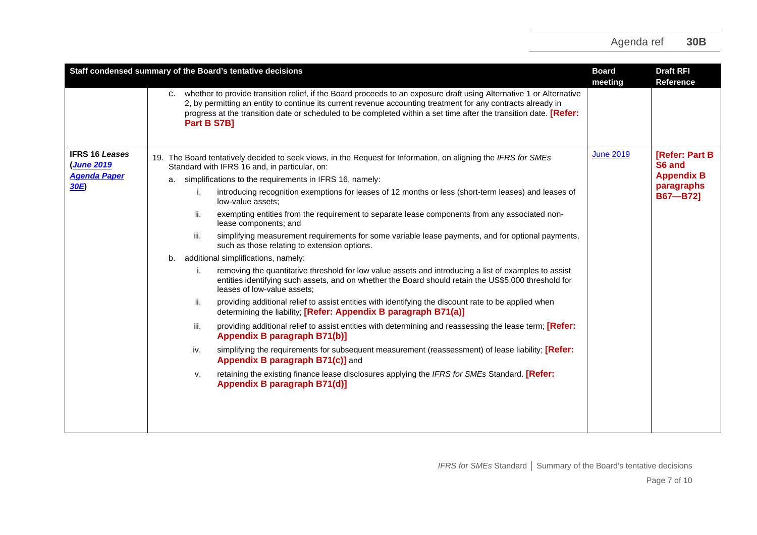|                                                                          | Staff condensed summary of the Board's tentative decisions                                                                                                                                                                                                                                                                                                                                                                                                                                                                                                                                                                                                                                                                                                                                                                                                                                                                                                                                                                                                                                                                                                                                                                                                                                                                                                                                                                                                                                                                                                                                        | <b>Board</b><br>meeting | <b>Draft RFI</b><br><b>Reference</b>                                           |
|--------------------------------------------------------------------------|---------------------------------------------------------------------------------------------------------------------------------------------------------------------------------------------------------------------------------------------------------------------------------------------------------------------------------------------------------------------------------------------------------------------------------------------------------------------------------------------------------------------------------------------------------------------------------------------------------------------------------------------------------------------------------------------------------------------------------------------------------------------------------------------------------------------------------------------------------------------------------------------------------------------------------------------------------------------------------------------------------------------------------------------------------------------------------------------------------------------------------------------------------------------------------------------------------------------------------------------------------------------------------------------------------------------------------------------------------------------------------------------------------------------------------------------------------------------------------------------------------------------------------------------------------------------------------------------------|-------------------------|--------------------------------------------------------------------------------|
|                                                                          | c. whether to provide transition relief, if the Board proceeds to an exposure draft using Alternative 1 or Alternative<br>2, by permitting an entity to continue its current revenue accounting treatment for any contracts already in<br>progress at the transition date or scheduled to be completed within a set time after the transition date. <b>[Refer:</b><br>Part B S7B]                                                                                                                                                                                                                                                                                                                                                                                                                                                                                                                                                                                                                                                                                                                                                                                                                                                                                                                                                                                                                                                                                                                                                                                                                 |                         |                                                                                |
| <b>IFRS 16 Leases</b><br><b>(June 2019</b><br><b>Agenda Paper</b><br>30E | 19. The Board tentatively decided to seek views, in the Request for Information, on aligning the IFRS for SMEs<br>Standard with IFRS 16 and, in particular, on:<br>simplifications to the requirements in IFRS 16, namely:<br>a.<br>introducing recognition exemptions for leases of 12 months or less (short-term leases) and leases of<br>i.<br>low-value assets:<br>exempting entities from the requirement to separate lease components from any associated non-<br>ii.<br>lease components; and<br>iii.<br>simplifying measurement requirements for some variable lease payments, and for optional payments,<br>such as those relating to extension options.<br>additional simplifications, namely:<br>b.<br>removing the quantitative threshold for low value assets and introducing a list of examples to assist<br>j.<br>entities identifying such assets, and on whether the Board should retain the US\$5,000 threshold for<br>leases of low-value assets;<br>providing additional relief to assist entities with identifying the discount rate to be applied when<br>ii.<br>determining the liability; [Refer: Appendix B paragraph B71(a)]<br>providing additional relief to assist entities with determining and reassessing the lease term; [Refer:<br>iii.<br>Appendix B paragraph B71(b)]<br>simplifying the requirements for subsequent measurement (reassessment) of lease liability; [Refer:<br>iv.<br>Appendix B paragraph B71(c)] and<br>retaining the existing finance lease disclosures applying the IFRS for SMEs Standard. [Refer:<br>v.<br>Appendix B paragraph B71(d)] | <b>June 2019</b>        | [Refer: Part B<br>S6 and<br><b>Appendix B</b><br>paragraphs<br><b>B67-B721</b> |
|                                                                          |                                                                                                                                                                                                                                                                                                                                                                                                                                                                                                                                                                                                                                                                                                                                                                                                                                                                                                                                                                                                                                                                                                                                                                                                                                                                                                                                                                                                                                                                                                                                                                                                   |                         |                                                                                |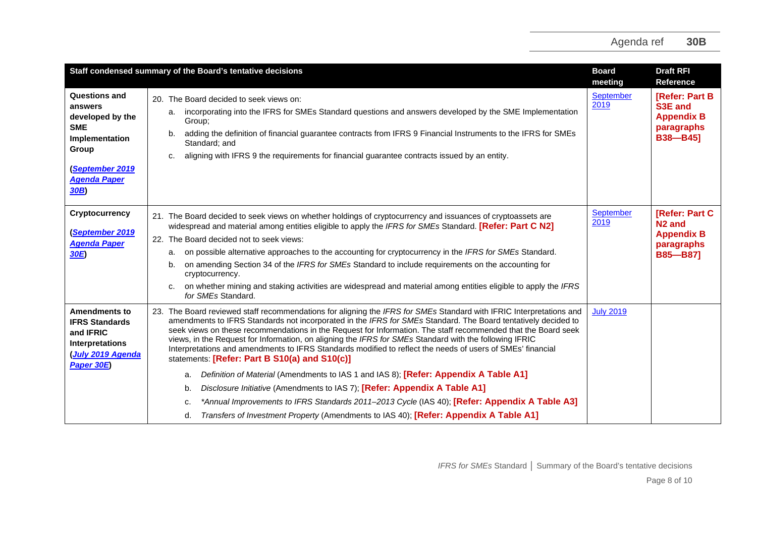|                                                                                                                                              | Staff condensed summary of the Board's tentative decisions                                                                                                                                                                                                                                                                                                                                                                                                                                                                                                                                                                                                                                                                                                                                                                                                                                                                                                                                                            | <b>Board</b><br>meeting  | <b>Draft RFI</b><br><b>Reference</b>                                                       |
|----------------------------------------------------------------------------------------------------------------------------------------------|-----------------------------------------------------------------------------------------------------------------------------------------------------------------------------------------------------------------------------------------------------------------------------------------------------------------------------------------------------------------------------------------------------------------------------------------------------------------------------------------------------------------------------------------------------------------------------------------------------------------------------------------------------------------------------------------------------------------------------------------------------------------------------------------------------------------------------------------------------------------------------------------------------------------------------------------------------------------------------------------------------------------------|--------------------------|--------------------------------------------------------------------------------------------|
| Questions and<br>answers<br>developed by the<br><b>SME</b><br>Implementation<br>Group<br><b>September 2019</b><br><b>Agenda Paper</b><br>30B | 20. The Board decided to seek views on:<br>incorporating into the IFRS for SMEs Standard questions and answers developed by the SME Implementation<br>a.<br>Group;<br>adding the definition of financial guarantee contracts from IFRS 9 Financial Instruments to the IFRS for SMEs<br>b.<br>Standard; and<br>aligning with IFRS 9 the requirements for financial guarantee contracts issued by an entity.<br>c.                                                                                                                                                                                                                                                                                                                                                                                                                                                                                                                                                                                                      | <b>September</b><br>2019 | <b>[Refer: Part B</b><br>S3E and<br><b>Appendix B</b><br>paragraphs<br><b>B38-B451</b>     |
| <b>Cryptocurrency</b><br>(September 2019<br><b>Agenda Paper</b><br>30E                                                                       | 21. The Board decided to seek views on whether holdings of cryptocurrency and issuances of cryptoassets are<br>widespread and material among entities eligible to apply the IFRS for SMEs Standard. [Refer: Part C N2]<br>22. The Board decided not to seek views:<br>on possible alternative approaches to the accounting for cryptocurrency in the IFRS for SMEs Standard.<br>a.<br>on amending Section 34 of the IFRS for SMEs Standard to include requirements on the accounting for<br>b.<br>cryptocurrency.<br>on whether mining and staking activities are widespread and material among entities eligible to apply the IFRS<br>for SMEs Standard.                                                                                                                                                                                                                                                                                                                                                             | <b>September</b><br>2019 | [Refer: Part C<br>N <sub>2</sub> and<br><b>Appendix B</b><br>paragraphs<br><b>B85-B871</b> |
| <b>Amendments to</b><br><b>IFRS Standards</b><br>and IFRIC<br>Interpretations<br><b>July 2019 Agenda</b><br>Paper 30E)                       | 23. The Board reviewed staff recommendations for aligning the IFRS for SMEs Standard with IFRIC Interpretations and<br>amendments to IFRS Standards not incorporated in the IFRS for SMEs Standard. The Board tentatively decided to<br>seek views on these recommendations in the Request for Information. The staff recommended that the Board seek<br>views, in the Request for Information, on aligning the IFRS for SMEs Standard with the following IFRIC<br>Interpretations and amendments to IFRS Standards modified to reflect the needs of users of SMEs' financial<br>statements: [Refer: Part B S10(a) and S10(c)]<br>Definition of Material (Amendments to IAS 1 and IAS 8); [Refer: Appendix A Table A1]<br>а.<br>Disclosure Initiative (Amendments to IAS 7); [Refer: Appendix A Table A1]<br>b.<br>*Annual Improvements to IFRS Standards 2011-2013 Cycle (IAS 40); [Refer: Appendix A Table A3]<br>c.<br>Transfers of Investment Property (Amendments to IAS 40); [Refer: Appendix A Table A1]<br>d. | <b>July 2019</b>         |                                                                                            |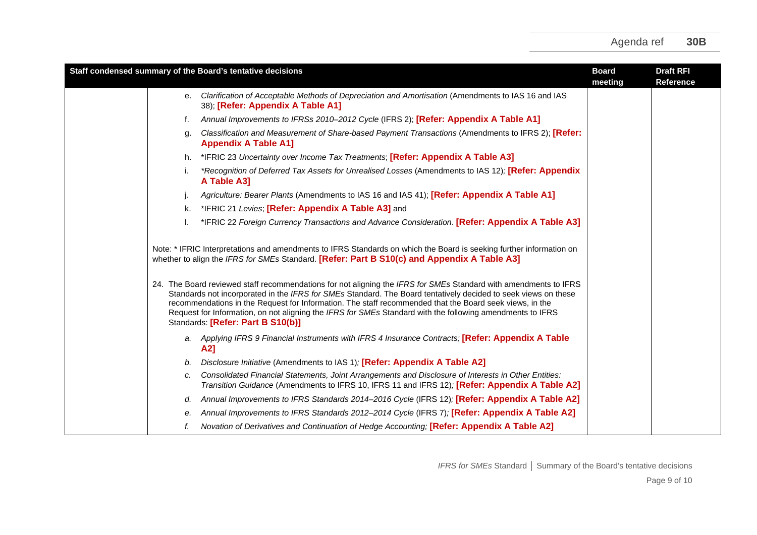| Staff condensed summary of the Board's tentative decisions                                                                                                                                                                                                                                                                                                                                                                                                                                                                                                                                                                                                                                                            | <b>Board</b><br>meeting | <b>Draft RFI</b><br><b>Reference</b> |
|-----------------------------------------------------------------------------------------------------------------------------------------------------------------------------------------------------------------------------------------------------------------------------------------------------------------------------------------------------------------------------------------------------------------------------------------------------------------------------------------------------------------------------------------------------------------------------------------------------------------------------------------------------------------------------------------------------------------------|-------------------------|--------------------------------------|
| Clarification of Acceptable Methods of Depreciation and Amortisation (Amendments to IAS 16 and IAS<br>е.<br>38); [Refer: Appendix A Table A1]                                                                                                                                                                                                                                                                                                                                                                                                                                                                                                                                                                         |                         |                                      |
| Annual Improvements to IFRSs 2010-2012 Cycle (IFRS 2); [Refer: Appendix A Table A1]<br>f.                                                                                                                                                                                                                                                                                                                                                                                                                                                                                                                                                                                                                             |                         |                                      |
| Classification and Measurement of Share-based Payment Transactions (Amendments to IFRS 2); [Refer:<br>g.<br><b>Appendix A Table A1]</b>                                                                                                                                                                                                                                                                                                                                                                                                                                                                                                                                                                               |                         |                                      |
| *IFRIC 23 Uncertainty over Income Tax Treatments; [Refer: Appendix A Table A3]<br>h.                                                                                                                                                                                                                                                                                                                                                                                                                                                                                                                                                                                                                                  |                         |                                      |
| *Recognition of Deferred Tax Assets for Unrealised Losses (Amendments to IAS 12); [Refer: Appendix<br>A Table A3]                                                                                                                                                                                                                                                                                                                                                                                                                                                                                                                                                                                                     |                         |                                      |
| Agriculture: Bearer Plants (Amendments to IAS 16 and IAS 41); [Refer: Appendix A Table A1]                                                                                                                                                                                                                                                                                                                                                                                                                                                                                                                                                                                                                            |                         |                                      |
| k. *IFRIC 21 Levies; [Refer: Appendix A Table A3] and                                                                                                                                                                                                                                                                                                                                                                                                                                                                                                                                                                                                                                                                 |                         |                                      |
| *IFRIC 22 Foreign Currency Transactions and Advance Consideration. [Refer: Appendix A Table A3]                                                                                                                                                                                                                                                                                                                                                                                                                                                                                                                                                                                                                       |                         |                                      |
| Note: * IFRIC Interpretations and amendments to IFRS Standards on which the Board is seeking further information on<br>whether to align the IFRS for SMEs Standard. [Refer: Part B S10(c) and Appendix A Table A3]<br>24. The Board reviewed staff recommendations for not aligning the IFRS for SMEs Standard with amendments to IFRS<br>Standards not incorporated in the IFRS for SMEs Standard. The Board tentatively decided to seek views on these<br>recommendations in the Request for Information. The staff recommended that the Board seek views, in the<br>Request for Information, on not aligning the IFRS for SMEs Standard with the following amendments to IFRS<br>Standards: [Refer: Part B S10(b)] |                         |                                      |
| a. Applying IFRS 9 Financial Instruments with IFRS 4 Insurance Contracts; [Refer: Appendix A Table<br>A2]                                                                                                                                                                                                                                                                                                                                                                                                                                                                                                                                                                                                             |                         |                                      |
| Disclosure Initiative (Amendments to IAS 1); [Refer: Appendix A Table A2]<br>b.                                                                                                                                                                                                                                                                                                                                                                                                                                                                                                                                                                                                                                       |                         |                                      |
| Consolidated Financial Statements, Joint Arrangements and Disclosure of Interests in Other Entities:<br>c.<br>Transition Guidance (Amendments to IFRS 10, IFRS 11 and IFRS 12); [Refer: Appendix A Table A2]                                                                                                                                                                                                                                                                                                                                                                                                                                                                                                          |                         |                                      |
| Annual Improvements to IFRS Standards 2014-2016 Cycle (IFRS 12); [Refer: Appendix A Table A2]<br>d.                                                                                                                                                                                                                                                                                                                                                                                                                                                                                                                                                                                                                   |                         |                                      |
| Annual Improvements to IFRS Standards 2012-2014 Cycle (IFRS 7); [Refer: Appendix A Table A2]<br>е.                                                                                                                                                                                                                                                                                                                                                                                                                                                                                                                                                                                                                    |                         |                                      |
| Novation of Derivatives and Continuation of Hedge Accounting; [Refer: Appendix A Table A2]                                                                                                                                                                                                                                                                                                                                                                                                                                                                                                                                                                                                                            |                         |                                      |